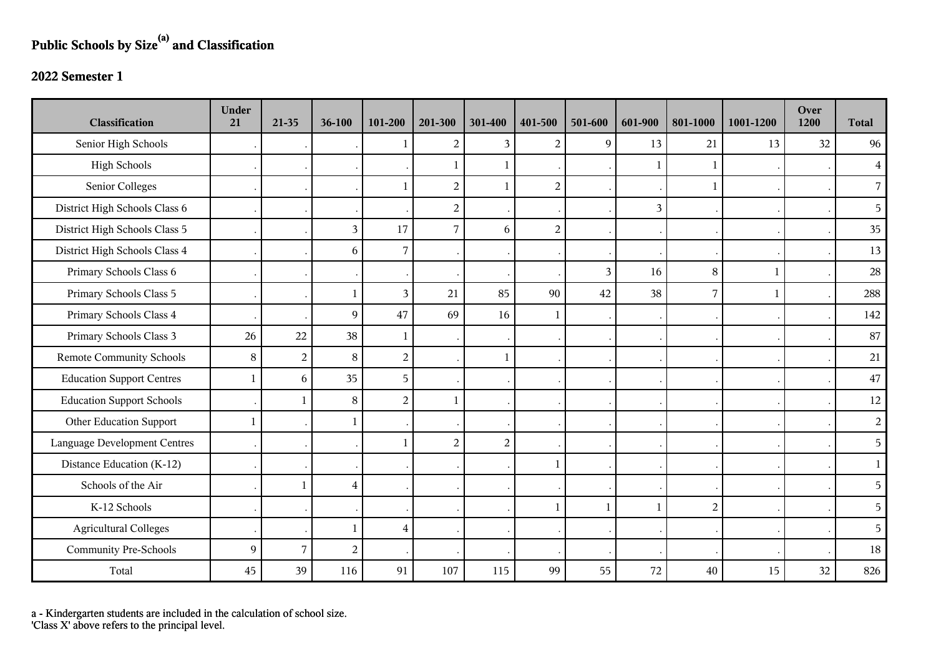## **Public Schools by Size(a) and Classification**

## **2022 Semester 1**

| <b>Classification</b>               | <b>Under</b><br>21 | 21-35          | 36-100                  | 101-200        | 201-300        | 301-400        | 401-500        | 501-600        | 601-900        | 801-1000       | 1001-1200    | Over<br>1200 | <b>Total</b>   |
|-------------------------------------|--------------------|----------------|-------------------------|----------------|----------------|----------------|----------------|----------------|----------------|----------------|--------------|--------------|----------------|
| Senior High Schools                 |                    |                |                         |                | $\overline{2}$ | 3              | $\overline{2}$ | 9              | 13             | 21             | 13           | 32           | 96             |
| <b>High Schools</b>                 |                    |                |                         |                | 1              |                |                |                |                | 1              |              |              | $\overline{4}$ |
| Senior Colleges                     |                    |                |                         |                | $\overline{2}$ | $\mathbf{1}$   | $\overline{2}$ |                |                | $\mathbf{1}$   |              |              | $\overline{7}$ |
| District High Schools Class 6       |                    |                |                         |                | $\overline{2}$ |                |                |                | $\overline{3}$ |                |              |              | 5 <sup>1</sup> |
| District High Schools Class 5       |                    |                | $\mathfrak{Z}$          | 17             | $\overline{7}$ | 6              | $\overline{c}$ |                |                |                |              |              | 35             |
| District High Schools Class 4       |                    |                | 6                       | 7              |                |                |                |                |                |                |              |              | 13             |
| Primary Schools Class 6             |                    |                |                         |                |                |                |                | $\overline{3}$ | 16             | 8              | $\mathbf{1}$ |              | $28\,$         |
| Primary Schools Class 5             |                    |                | $\mathbf{1}$            | 3              | 21             | 85             | 90             | 42             | 38             | 7              | $\mathbf{1}$ |              | 288            |
| Primary Schools Class 4             |                    |                | $\overline{9}$          | 47             | 69             | 16             | 1              |                |                |                |              |              | 142            |
| Primary Schools Class 3             | 26                 | 22             | 38                      | $\mathbf{1}$   |                |                |                |                |                |                |              |              | 87             |
| <b>Remote Community Schools</b>     | 8                  | $\overline{2}$ | $\,8\,$                 | $\overline{c}$ |                | $\mathbf{1}$   |                |                |                |                |              |              | 21             |
| <b>Education Support Centres</b>    |                    | 6              | 35                      | 5              |                |                |                |                |                |                |              |              | 47             |
| <b>Education Support Schools</b>    |                    | 1              | $\, 8$                  | $\overline{c}$ | 1              |                |                |                |                |                |              |              | 12             |
| Other Education Support             | $\mathbf{1}$       |                | $\mathbf{1}$            |                |                |                |                |                |                |                |              |              | $\overline{2}$ |
| <b>Language Development Centres</b> |                    |                |                         |                | $\overline{2}$ | $\overline{2}$ |                |                |                |                |              |              | 5              |
| Distance Education (K-12)           |                    |                |                         |                |                |                | 1              |                |                |                |              |              | $\mathbf{1}$   |
| Schools of the Air                  |                    | 1              | $\overline{\mathbf{4}}$ |                |                |                |                |                |                |                |              |              | 5              |
| K-12 Schools                        |                    |                |                         |                |                |                | 1              | $\mathbf{1}$   |                | $\overline{2}$ |              |              | 5              |
| <b>Agricultural Colleges</b>        |                    |                | $\mathbf{1}$            | $\overline{4}$ |                |                |                |                |                |                |              |              | 5              |
| <b>Community Pre-Schools</b>        | 9                  | $\overline{7}$ | $\sqrt{2}$              |                |                |                |                |                |                |                |              |              | 18             |
| Total                               | 45                 | 39             | 116                     | 91             | 107            | 115            | 99             | 55             | 72             | 40             | 15           | 32           | 826            |

a - Kindergarten students are included in the calculation of school size.

'Class X' above refers to the principal level.